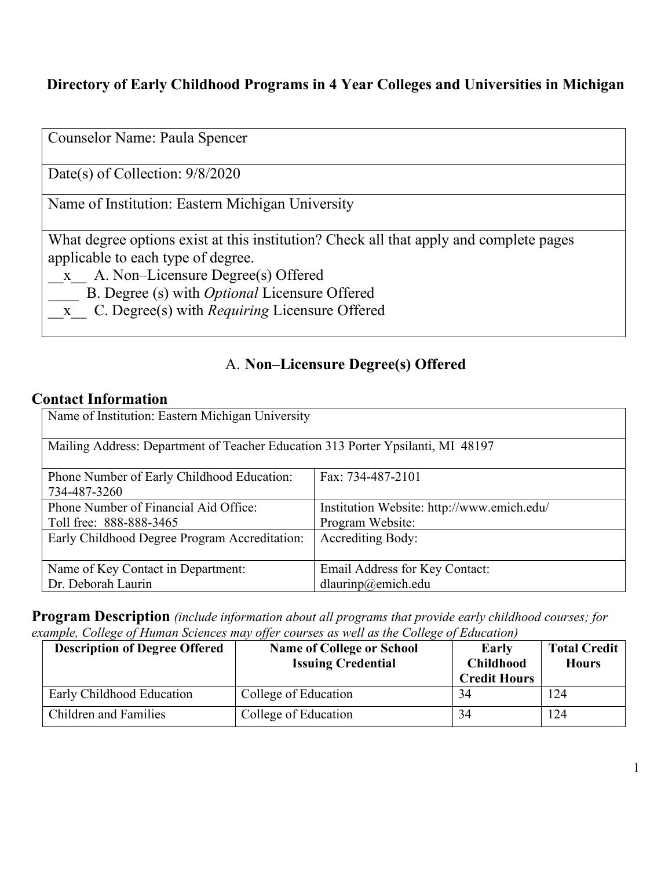# **Directory of Early Childhood Programs in 4 Year Colleges and Universities in Michigan**

| Counselor Name: Paula Spencer                                                                                                                                                                                                                                                          |
|----------------------------------------------------------------------------------------------------------------------------------------------------------------------------------------------------------------------------------------------------------------------------------------|
| Date(s) of Collection: $9/8/2020$                                                                                                                                                                                                                                                      |
| Name of Institution: Eastern Michigan University                                                                                                                                                                                                                                       |
| What degree options exist at this institution? Check all that apply and complete pages<br>applicable to each type of degree.<br>x A. Non-Licensure Degree(s) Offered<br>B. Degree (s) with <i>Optional</i> Licensure Offered<br>x C. Degree(s) with <i>Requiring</i> Licensure Offered |

## A. **Non–Licensure Degree(s) Offered**

## **Contact Information**

| Name of Institution: Eastern Michigan University                                |                                            |  |
|---------------------------------------------------------------------------------|--------------------------------------------|--|
| Mailing Address: Department of Teacher Education 313 Porter Ypsilanti, MI 48197 |                                            |  |
| Phone Number of Early Childhood Education:<br>734-487-3260                      | Fax: 734-487-2101                          |  |
| Phone Number of Financial Aid Office:                                           | Institution Website: http://www.emich.edu/ |  |
| Toll free: 888-888-3465                                                         | Program Website:                           |  |
| Early Childhood Degree Program Accreditation:                                   | <b>Accrediting Body:</b>                   |  |
| Name of Key Contact in Department:                                              | Email Address for Key Contact:             |  |
| Dr. Deborah Laurin                                                              | dlaurinp@emich.edu                         |  |

**Program Description** *(include information about all programs that provide early childhood courses; for example, College of Human Sciences may offer courses as well as the College of Education)*

| <b>Description of Degree Offered</b> | <b>Name of College or School</b><br><b>Issuing Credential</b> | Early<br><b>Childhood</b><br><b>Credit Hours</b> | <b>Total Credit</b><br><b>Hours</b> |
|--------------------------------------|---------------------------------------------------------------|--------------------------------------------------|-------------------------------------|
| Early Childhood Education            | College of Education                                          | 34                                               | 124                                 |
| <b>Children and Families</b>         | College of Education                                          | 34                                               | 124                                 |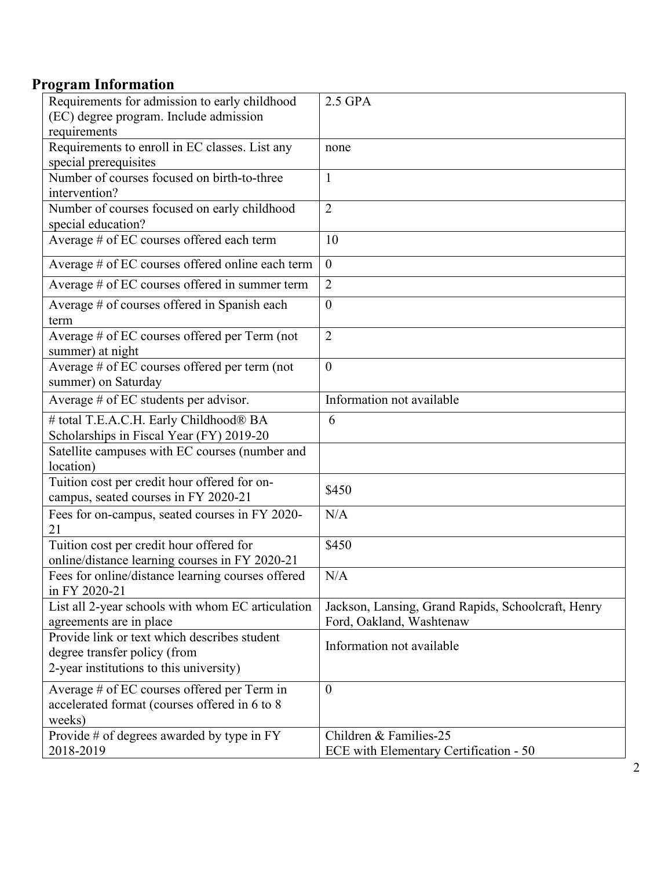# **Program Information**

| Requirements for admission to early childhood                                                                           | 2.5 GPA                                                                        |
|-------------------------------------------------------------------------------------------------------------------------|--------------------------------------------------------------------------------|
| (EC) degree program. Include admission                                                                                  |                                                                                |
| requirements                                                                                                            |                                                                                |
| Requirements to enroll in EC classes. List any                                                                          | none                                                                           |
| special prerequisites                                                                                                   |                                                                                |
| Number of courses focused on birth-to-three                                                                             | $\mathbf{1}$                                                                   |
| intervention?                                                                                                           |                                                                                |
| Number of courses focused on early childhood<br>special education?                                                      | $\overline{2}$                                                                 |
| Average # of EC courses offered each term                                                                               | 10                                                                             |
| Average # of EC courses offered online each term                                                                        | $\mathbf{0}$                                                                   |
| Average # of EC courses offered in summer term                                                                          | $\overline{2}$                                                                 |
| Average # of courses offered in Spanish each<br>term                                                                    | $\mathbf{0}$                                                                   |
| Average # of EC courses offered per Term (not<br>summer) at night                                                       | $\overline{2}$                                                                 |
| Average # of EC courses offered per term (not<br>summer) on Saturday                                                    | $\boldsymbol{0}$                                                               |
| Average # of EC students per advisor.                                                                                   | Information not available                                                      |
| # total T.E.A.C.H. Early Childhood® BA                                                                                  | 6                                                                              |
| Scholarships in Fiscal Year (FY) 2019-20                                                                                |                                                                                |
| Satellite campuses with EC courses (number and                                                                          |                                                                                |
| location)                                                                                                               |                                                                                |
| Tuition cost per credit hour offered for on-<br>campus, seated courses in FY 2020-21                                    | \$450                                                                          |
| Fees for on-campus, seated courses in FY 2020-<br>21                                                                    | N/A                                                                            |
| Tuition cost per credit hour offered for<br>online/distance learning courses in FY 2020-21                              | \$450                                                                          |
| Fees for online/distance learning courses offered<br>in FY 2020-21                                                      | N/A                                                                            |
| List all 2-year schools with whom EC articulation<br>agreements are in place                                            | Jackson, Lansing, Grand Rapids, Schoolcraft, Henry<br>Ford, Oakland, Washtenaw |
| Provide link or text which describes student<br>degree transfer policy (from<br>2-year institutions to this university) | Information not available                                                      |
| Average # of EC courses offered per Term in<br>accelerated format (courses offered in 6 to 8<br>weeks)                  | $\mathbf{0}$                                                                   |
| Provide $#$ of degrees awarded by type in $FY$                                                                          | Children & Families-25                                                         |
| 2018-2019                                                                                                               | ECE with Elementary Certification - 50                                         |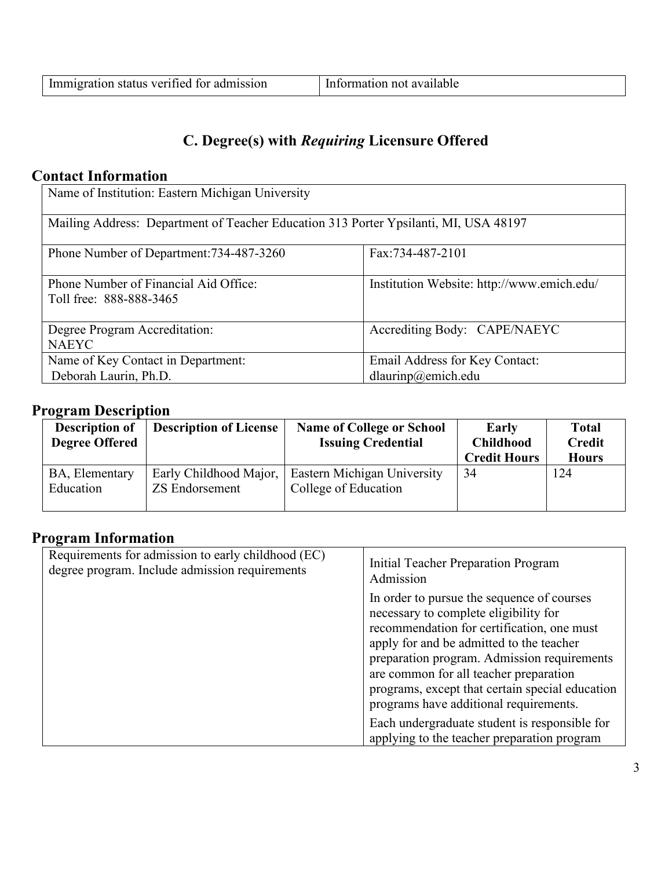# **C. Degree(s) with** *Requiring* **Licensure Offered**

## **Contact Information**

| Name of Institution: Eastern Michigan University                                     |                                                      |  |
|--------------------------------------------------------------------------------------|------------------------------------------------------|--|
| Mailing Address: Department of Teacher Education 313 Porter Ypsilanti, MI, USA 48197 |                                                      |  |
| Phone Number of Department: 734-487-3260                                             | Fax:734-487-2101                                     |  |
| Phone Number of Financial Aid Office:<br>Toll free: 888-888-3465                     | Institution Website: http://www.emich.edu/           |  |
| Degree Program Accreditation:<br><b>NAEYC</b>                                        | Accrediting Body: CAPE/NAEYC                         |  |
| Name of Key Contact in Department:<br>Deborah Laurin, Ph.D.                          | Email Address for Key Contact:<br>dlaurinp@emich.edu |  |

## **Program Description**

| <b>Description of</b><br><b>Degree Offered</b> | <b>Description of License</b>                   | <b>Name of College or School</b><br><b>Issuing Credential</b> | Early<br><b>Childhood</b><br><b>Credit Hours</b> | <b>Total</b><br><b>Credit</b><br><b>Hours</b> |
|------------------------------------------------|-------------------------------------------------|---------------------------------------------------------------|--------------------------------------------------|-----------------------------------------------|
| BA, Elementary<br>Education                    | Early Childhood Major,<br><b>ZS</b> Endorsement | Eastern Michigan University<br>College of Education           | 34                                               | 124                                           |

## **Program Information**

| Requirements for admission to early childhood (EC)<br>degree program. Include admission requirements | Initial Teacher Preparation Program<br>Admission                                                                                                                                                                                                                                                                                                                    |
|------------------------------------------------------------------------------------------------------|---------------------------------------------------------------------------------------------------------------------------------------------------------------------------------------------------------------------------------------------------------------------------------------------------------------------------------------------------------------------|
|                                                                                                      | In order to pursue the sequence of courses<br>necessary to complete eligibility for<br>recommendation for certification, one must<br>apply for and be admitted to the teacher<br>preparation program. Admission requirements<br>are common for all teacher preparation<br>programs, except that certain special education<br>programs have additional requirements. |
|                                                                                                      | Each undergraduate student is responsible for<br>applying to the teacher preparation program                                                                                                                                                                                                                                                                        |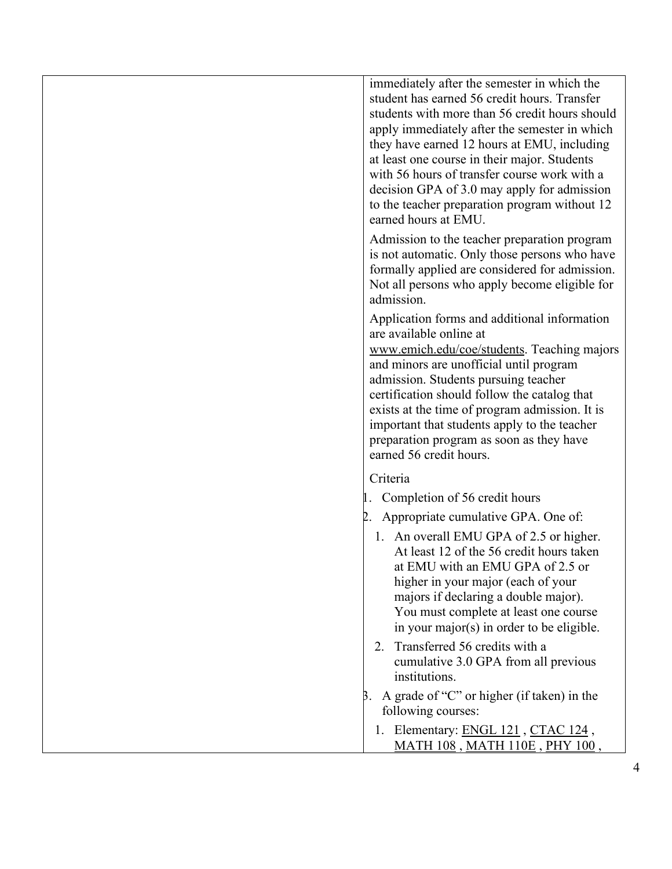immediately after the semester in which the student has earned 56 credit hours. Transfer students with more than 56 credit hours should apply immediately after the semester in which they have earned 12 hours at EMU, including at least one course in their major. Students with 56 hours of transfer course work with a decision GPA of 3.0 may apply for admission to the teacher preparation program without 12 earned hours at EMU.

Admission to the teacher preparation program is not automatic. Only those persons who have formally applied are considered for admission. Not all persons who apply become eligible for admission.

Application forms and additional information are available online at [www.emich.edu/coe/students.](http://www.emich.edu/coe/students) Teaching majors and minors are unofficial until program admission. Students pursuing teacher certification should follow the catalog that exists at the time of program admission. It is important that students apply to the teacher preparation program as soon as they have earned 56 credit hours.

#### Criteria

- 1. Completion of 56 credit hours
- 2. Appropriate cumulative GPA. One of:
	- 1. An overall EMU GPA of 2.5 or higher. At least 12 of the 56 credit hours taken at EMU with an EMU GPA of 2.5 or higher in your major (each of your majors if declaring a double major). You must complete at least one course in your major(s) in order to be eligible.
	- 2. Transferred 56 credits with a cumulative 3.0 GPA from all previous institutions.
- $\beta$ . A grade of "C" or higher (if taken) in the following courses:
	- 1. Elementary: [ENGL 121](http://catalog.emich.edu/preview_program.php?catoid=11&poid=5893&returnto=1549#tt4651) , [CTAC 124](http://catalog.emich.edu/preview_program.php?catoid=11&poid=5893&returnto=1549#tt2674) , [MATH 108](http://catalog.emich.edu/preview_program.php?catoid=11&poid=5893&returnto=1549#tt8114) , [MATH 110E](http://catalog.emich.edu/preview_program.php?catoid=11&poid=5893&returnto=1549#tt4880) , [PHY 100](http://catalog.emich.edu/preview_program.php?catoid=11&poid=5893&returnto=1549#tt880) ,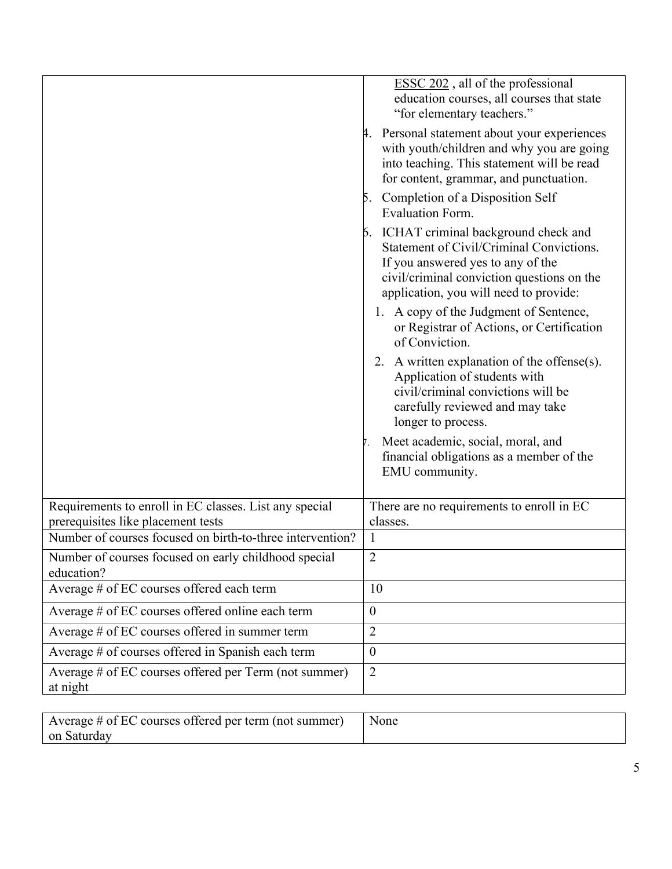|                                                                                              | ESSC 202, all of the professional<br>education courses, all courses that state<br>"for elementary teachers."<br>4. Personal statement about your experiences<br>with youth/children and why you are going<br>into teaching. This statement will be read<br>for content, grammar, and punctuation.<br>5. Completion of a Disposition Self<br>Evaluation Form.<br>6. ICHAT criminal background check and<br>Statement of Civil/Criminal Convictions.<br>If you answered yes to any of the<br>civil/criminal conviction questions on the<br>application, you will need to provide:<br>1. A copy of the Judgment of Sentence,<br>or Registrar of Actions, or Certification<br>of Conviction.<br>2. A written explanation of the offense(s).<br>Application of students with<br>civil/criminal convictions will be<br>carefully reviewed and may take<br>longer to process.<br>Meet academic, social, moral, and<br>financial obligations as a member of the |
|----------------------------------------------------------------------------------------------|---------------------------------------------------------------------------------------------------------------------------------------------------------------------------------------------------------------------------------------------------------------------------------------------------------------------------------------------------------------------------------------------------------------------------------------------------------------------------------------------------------------------------------------------------------------------------------------------------------------------------------------------------------------------------------------------------------------------------------------------------------------------------------------------------------------------------------------------------------------------------------------------------------------------------------------------------------|
|                                                                                              | EMU community.                                                                                                                                                                                                                                                                                                                                                                                                                                                                                                                                                                                                                                                                                                                                                                                                                                                                                                                                          |
| Requirements to enroll in EC classes. List any special<br>prerequisites like placement tests | There are no requirements to enroll in EC<br>classes.                                                                                                                                                                                                                                                                                                                                                                                                                                                                                                                                                                                                                                                                                                                                                                                                                                                                                                   |
| Number of courses focused on birth-to-three intervention?                                    | $\mathbf{1}$                                                                                                                                                                                                                                                                                                                                                                                                                                                                                                                                                                                                                                                                                                                                                                                                                                                                                                                                            |
| Number of courses focused on early childhood special<br>education?                           | $\overline{2}$                                                                                                                                                                                                                                                                                                                                                                                                                                                                                                                                                                                                                                                                                                                                                                                                                                                                                                                                          |
| Average # of EC courses offered each term                                                    | 10                                                                                                                                                                                                                                                                                                                                                                                                                                                                                                                                                                                                                                                                                                                                                                                                                                                                                                                                                      |
| Average # of EC courses offered online each term                                             | $\boldsymbol{0}$                                                                                                                                                                                                                                                                                                                                                                                                                                                                                                                                                                                                                                                                                                                                                                                                                                                                                                                                        |
| Average # of EC courses offered in summer term                                               | $\overline{2}$                                                                                                                                                                                                                                                                                                                                                                                                                                                                                                                                                                                                                                                                                                                                                                                                                                                                                                                                          |
| Average # of courses offered in Spanish each term                                            | $\boldsymbol{0}$                                                                                                                                                                                                                                                                                                                                                                                                                                                                                                                                                                                                                                                                                                                                                                                                                                                                                                                                        |
| Average # of EC courses offered per Term (not summer)<br>at night                            | $\overline{2}$                                                                                                                                                                                                                                                                                                                                                                                                                                                                                                                                                                                                                                                                                                                                                                                                                                                                                                                                          |
|                                                                                              |                                                                                                                                                                                                                                                                                                                                                                                                                                                                                                                                                                                                                                                                                                                                                                                                                                                                                                                                                         |

| Average # of EC courses offered per term (not summer) | None |
|-------------------------------------------------------|------|
| on Saturday                                           |      |